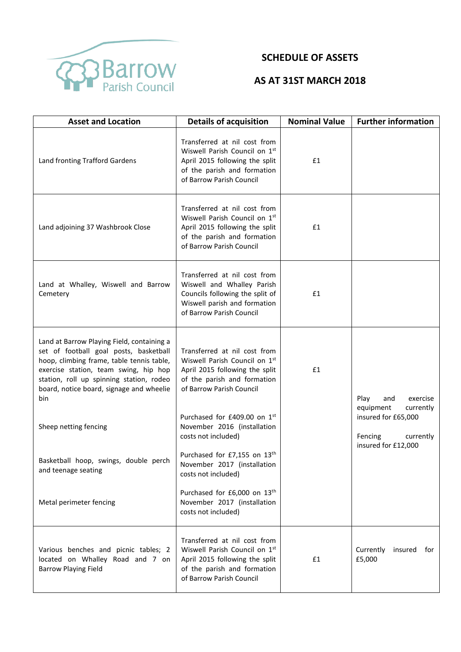

## **SCHEDULE OF ASSETS**

## **AS AT 31ST MARCH 2018**

| <b>Asset and Location</b>                                                                                                                                                                                                                                                 | <b>Details of acquisition</b>                                                                                                                              | <b>Nominal Value</b> | <b>Further information</b>                                            |
|---------------------------------------------------------------------------------------------------------------------------------------------------------------------------------------------------------------------------------------------------------------------------|------------------------------------------------------------------------------------------------------------------------------------------------------------|----------------------|-----------------------------------------------------------------------|
| Land fronting Trafford Gardens                                                                                                                                                                                                                                            | Transferred at nil cost from<br>Wiswell Parish Council on 1st<br>April 2015 following the split<br>of the parish and formation<br>of Barrow Parish Council | £1                   |                                                                       |
| Land adjoining 37 Washbrook Close                                                                                                                                                                                                                                         | Transferred at nil cost from<br>Wiswell Parish Council on 1st<br>April 2015 following the split<br>of the parish and formation<br>of Barrow Parish Council | £1                   |                                                                       |
| Land at Whalley, Wiswell and Barrow<br>Cemetery                                                                                                                                                                                                                           | Transferred at nil cost from<br>Wiswell and Whalley Parish<br>Councils following the split of<br>Wiswell parish and formation<br>of Barrow Parish Council  | £1                   |                                                                       |
| Land at Barrow Playing Field, containing a<br>set of football goal posts, basketball<br>hoop, climbing frame, table tennis table,<br>exercise station, team swing, hip hop<br>station, roll up spinning station, rodeo<br>board, notice board, signage and wheelie<br>bin | Transferred at nil cost from<br>Wiswell Parish Council on 1st<br>April 2015 following the split<br>of the parish and formation<br>of Barrow Parish Council | £1                   | Play<br>exercise<br>and                                               |
| Sheep netting fencing                                                                                                                                                                                                                                                     | Purchased for £409.00 on 1st<br>November 2016 (installation<br>costs not included)                                                                         |                      | equipment<br>currently<br>insured for £65,000<br>Fencing<br>currently |
| Basketball hoop, swings, double perch<br>and teenage seating                                                                                                                                                                                                              | Purchased for £7,155 on 13th<br>November 2017 (installation<br>costs not included)                                                                         |                      | insured for £12,000                                                   |
| Metal perimeter fencing                                                                                                                                                                                                                                                   | Purchased for £6,000 on 13 <sup>th</sup><br>November 2017 (installation<br>costs not included)                                                             |                      |                                                                       |
| Various benches and picnic tables; 2<br>located on Whalley Road and 7 on<br><b>Barrow Playing Field</b>                                                                                                                                                                   | Transferred at nil cost from<br>Wiswell Parish Council on 1st<br>April 2015 following the split<br>of the parish and formation<br>of Barrow Parish Council | £1                   | Currently<br>insured for<br>£5,000                                    |